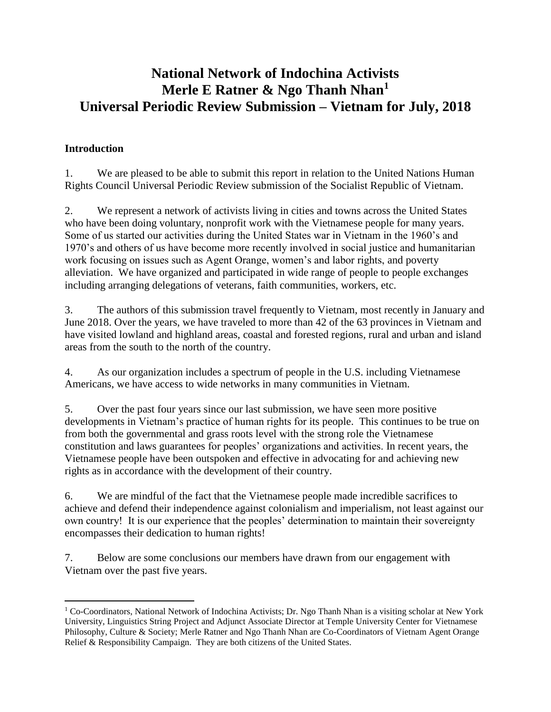# **National Network of Indochina Activists Merle E Ratner & Ngo Thanh Nhan<sup>1</sup> Universal Periodic Review Submission – Vietnam for July, 2018**

### **Introduction**

 $\overline{a}$ 

1. We are pleased to be able to submit this report in relation to the United Nations Human Rights Council Universal Periodic Review submission of the Socialist Republic of Vietnam.

2. We represent a network of activists living in cities and towns across the United States who have been doing voluntary, nonprofit work with the Vietnamese people for many years. Some of us started our activities during the United States war in Vietnam in the 1960's and 1970's and others of us have become more recently involved in social justice and humanitarian work focusing on issues such as Agent Orange, women's and labor rights, and poverty alleviation. We have organized and participated in wide range of people to people exchanges including arranging delegations of veterans, faith communities, workers, etc.

3. The authors of this submission travel frequently to Vietnam, most recently in January and June 2018. Over the years, we have traveled to more than 42 of the 63 provinces in Vietnam and have visited lowland and highland areas, coastal and forested regions, rural and urban and island areas from the south to the north of the country.

4. As our organization includes a spectrum of people in the U.S. including Vietnamese Americans, we have access to wide networks in many communities in Vietnam.

5. Over the past four years since our last submission, we have seen more positive developments in Vietnam's practice of human rights for its people. This continues to be true on from both the governmental and grass roots level with the strong role the Vietnamese constitution and laws guarantees for peoples' organizations and activities. In recent years, the Vietnamese people have been outspoken and effective in advocating for and achieving new rights as in accordance with the development of their country.

6. We are mindful of the fact that the Vietnamese people made incredible sacrifices to achieve and defend their independence against colonialism and imperialism, not least against our own country! It is our experience that the peoples' determination to maintain their sovereignty encompasses their dedication to human rights!

7. Below are some conclusions our members have drawn from our engagement with Vietnam over the past five years.

 $1$  Co-Coordinators, National Network of Indochina Activists; Dr. Ngo Thanh Nhan is a visiting scholar at New York University, Linguistics String Project and Adjunct Associate Director at Temple University Center for Vietnamese Philosophy, Culture & Society; Merle Ratner and Ngo Thanh Nhan are Co-Coordinators of Vietnam Agent Orange Relief & Responsibility Campaign. They are both citizens of the United States.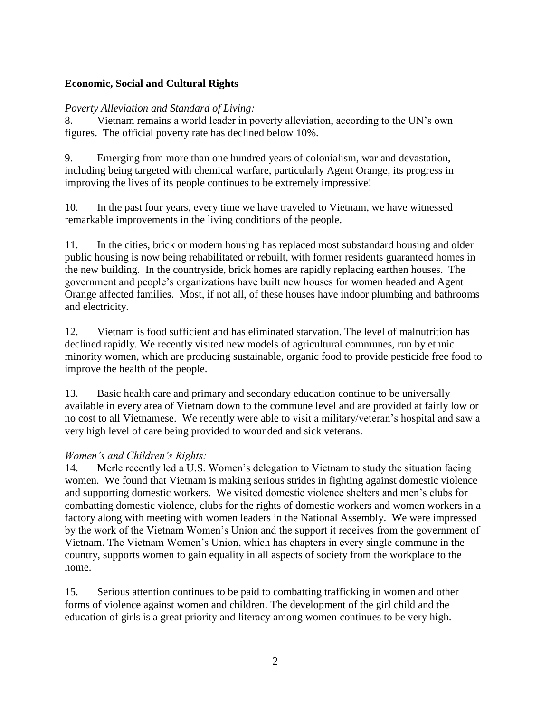#### **Economic, Social and Cultural Rights**

#### *Poverty Alleviation and Standard of Living:*

8. Vietnam remains a world leader in poverty alleviation, according to the UN's own figures. The official poverty rate has declined below 10%.

9. Emerging from more than one hundred years of colonialism, war and devastation, including being targeted with chemical warfare, particularly Agent Orange, its progress in improving the lives of its people continues to be extremely impressive!

10. In the past four years, every time we have traveled to Vietnam, we have witnessed remarkable improvements in the living conditions of the people.

11. In the cities, brick or modern housing has replaced most substandard housing and older public housing is now being rehabilitated or rebuilt, with former residents guaranteed homes in the new building. In the countryside, brick homes are rapidly replacing earthen houses. The government and people's organizations have built new houses for women headed and Agent Orange affected families. Most, if not all, of these houses have indoor plumbing and bathrooms and electricity.

12. Vietnam is food sufficient and has eliminated starvation. The level of malnutrition has declined rapidly. We recently visited new models of agricultural communes, run by ethnic minority women, which are producing sustainable, organic food to provide pesticide free food to improve the health of the people.

13. Basic health care and primary and secondary education continue to be universally available in every area of Vietnam down to the commune level and are provided at fairly low or no cost to all Vietnamese. We recently were able to visit a military/veteran's hospital and saw a very high level of care being provided to wounded and sick veterans.

#### *Women's and Children's Rights:*

14. Merle recently led a U.S. Women's delegation to Vietnam to study the situation facing women. We found that Vietnam is making serious strides in fighting against domestic violence and supporting domestic workers. We visited domestic violence shelters and men's clubs for combatting domestic violence, clubs for the rights of domestic workers and women workers in a factory along with meeting with women leaders in the National Assembly. We were impressed by the work of the Vietnam Women's Union and the support it receives from the government of Vietnam. The Vietnam Women's Union, which has chapters in every single commune in the country, supports women to gain equality in all aspects of society from the workplace to the home.

15. Serious attention continues to be paid to combatting trafficking in women and other forms of violence against women and children. The development of the girl child and the education of girls is a great priority and literacy among women continues to be very high.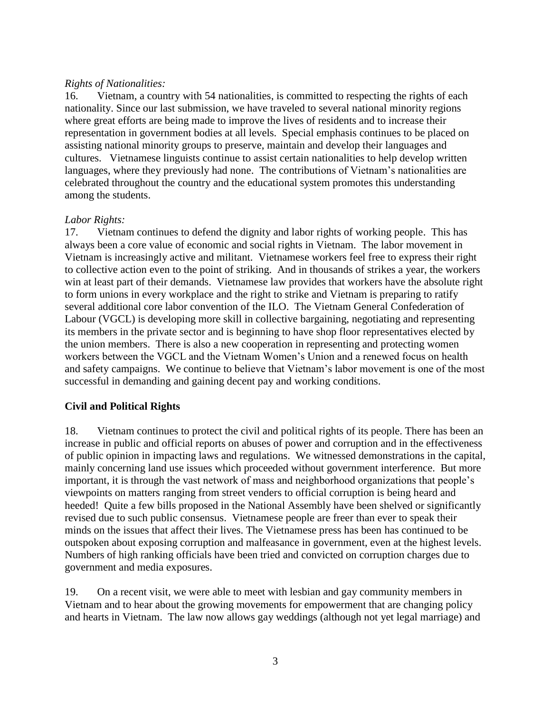#### *Rights of Nationalities:*

16. Vietnam, a country with 54 nationalities, is committed to respecting the rights of each nationality. Since our last submission, we have traveled to several national minority regions where great efforts are being made to improve the lives of residents and to increase their representation in government bodies at all levels. Special emphasis continues to be placed on assisting national minority groups to preserve, maintain and develop their languages and cultures. Vietnamese linguists continue to assist certain nationalities to help develop written languages, where they previously had none. The contributions of Vietnam's nationalities are celebrated throughout the country and the educational system promotes this understanding among the students.

#### *Labor Rights:*

17. Vietnam continues to defend the dignity and labor rights of working people. This has always been a core value of economic and social rights in Vietnam. The labor movement in Vietnam is increasingly active and militant. Vietnamese workers feel free to express their right to collective action even to the point of striking. And in thousands of strikes a year, the workers win at least part of their demands. Vietnamese law provides that workers have the absolute right to form unions in every workplace and the right to strike and Vietnam is preparing to ratify several additional core labor convention of the ILO. The Vietnam General Confederation of Labour (VGCL) is developing more skill in collective bargaining, negotiating and representing its members in the private sector and is beginning to have shop floor representatives elected by the union members. There is also a new cooperation in representing and protecting women workers between the VGCL and the Vietnam Women's Union and a renewed focus on health and safety campaigns. We continue to believe that Vietnam's labor movement is one of the most successful in demanding and gaining decent pay and working conditions.

#### **Civil and Political Rights**

18. Vietnam continues to protect the civil and political rights of its people. There has been an increase in public and official reports on abuses of power and corruption and in the effectiveness of public opinion in impacting laws and regulations. We witnessed demonstrations in the capital, mainly concerning land use issues which proceeded without government interference. But more important, it is through the vast network of mass and neighborhood organizations that people's viewpoints on matters ranging from street venders to official corruption is being heard and heeded! Quite a few bills proposed in the National Assembly have been shelved or significantly revised due to such public consensus. Vietnamese people are freer than ever to speak their minds on the issues that affect their lives. The Vietnamese press has been has continued to be outspoken about exposing corruption and malfeasance in government, even at the highest levels. Numbers of high ranking officials have been tried and convicted on corruption charges due to government and media exposures.

19. On a recent visit, we were able to meet with lesbian and gay community members in Vietnam and to hear about the growing movements for empowerment that are changing policy and hearts in Vietnam. The law now allows gay weddings (although not yet legal marriage) and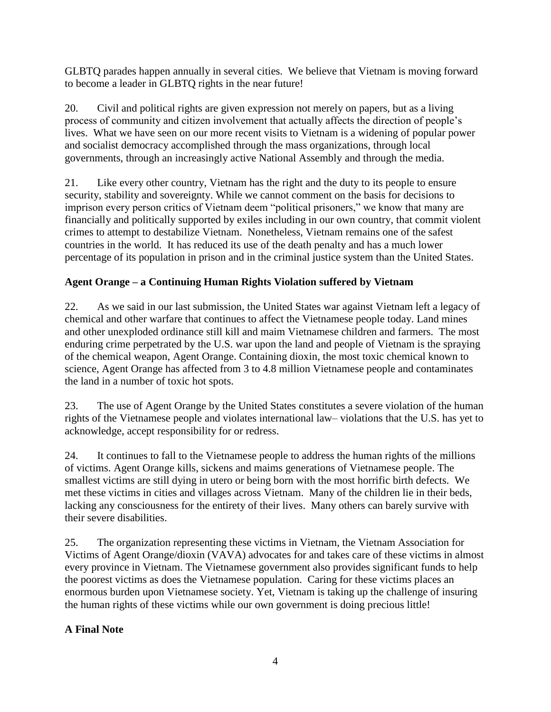GLBTQ parades happen annually in several cities. We believe that Vietnam is moving forward to become a leader in GLBTQ rights in the near future!

20. Civil and political rights are given expression not merely on papers, but as a living process of community and citizen involvement that actually affects the direction of people's lives. What we have seen on our more recent visits to Vietnam is a widening of popular power and socialist democracy accomplished through the mass organizations, through local governments, through an increasingly active National Assembly and through the media.

21. Like every other country, Vietnam has the right and the duty to its people to ensure security, stability and sovereignty. While we cannot comment on the basis for decisions to imprison every person critics of Vietnam deem "political prisoners," we know that many are financially and politically supported by exiles including in our own country, that commit violent crimes to attempt to destabilize Vietnam. Nonetheless, Vietnam remains one of the safest countries in the world. It has reduced its use of the death penalty and has a much lower percentage of its population in prison and in the criminal justice system than the United States.

# **Agent Orange – a Continuing Human Rights Violation suffered by Vietnam**

22. As we said in our last submission, the United States war against Vietnam left a legacy of chemical and other warfare that continues to affect the Vietnamese people today. Land mines and other unexploded ordinance still kill and maim Vietnamese children and farmers. The most enduring crime perpetrated by the U.S. war upon the land and people of Vietnam is the spraying of the chemical weapon, Agent Orange. Containing dioxin, the most toxic chemical known to science, Agent Orange has affected from 3 to 4.8 million Vietnamese people and contaminates the land in a number of toxic hot spots.

23. The use of Agent Orange by the United States constitutes a severe violation of the human rights of the Vietnamese people and violates international law– violations that the U.S. has yet to acknowledge, accept responsibility for or redress.

24. It continues to fall to the Vietnamese people to address the human rights of the millions of victims. Agent Orange kills, sickens and maims generations of Vietnamese people. The smallest victims are still dying in utero or being born with the most horrific birth defects. We met these victims in cities and villages across Vietnam. Many of the children lie in their beds, lacking any consciousness for the entirety of their lives. Many others can barely survive with their severe disabilities.

25. The organization representing these victims in Vietnam, the Vietnam Association for Victims of Agent Orange/dioxin (VAVA) advocates for and takes care of these victims in almost every province in Vietnam. The Vietnamese government also provides significant funds to help the poorest victims as does the Vietnamese population. Caring for these victims places an enormous burden upon Vietnamese society. Yet, Vietnam is taking up the challenge of insuring the human rights of these victims while our own government is doing precious little!

# **A Final Note**